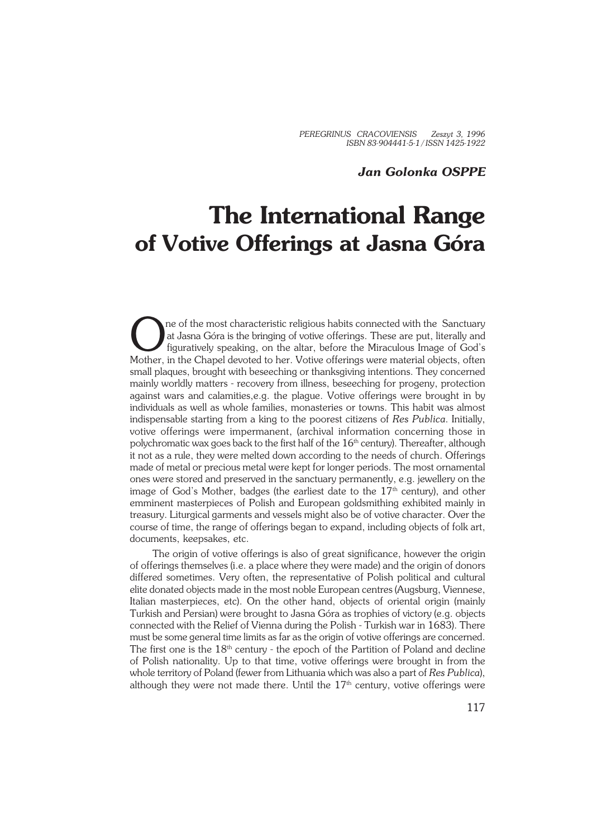## *Jan Golonka OSPPE*

## **The International Range of Votive Offerings at Jasna Góra**

The of the most characteristic religious habits connected with the Sanctuary at Jasna Góra is the bringing of votive offerings. These are put, literally and figuratively speaking, on the altar, before the Miraculous Image ne of the most characteristic religious habits connected with the Sanctuary at Jasna Góra is the bringing of votive offerings. These are put, literally and figuratively speaking, on the altar, before the Miraculous Image of God's small plaques, brought with beseeching or thanksgiving intentions. They concerned mainly worldly matters − recovery from illness, beseeching for progeny, protection against wars and calamities,e.g. the plague. Votive offerings were brought in by individuals as well as whole families, monasteries or towns. This habit was almost indispensable starting from a king to the poorest citizens of *Res Publica*. Initially, votive offerings were impermanent, (archival information concerning those in polychromatic wax goes back to the first half of the  $16<sup>th</sup>$  century). Thereafter, although it not as a rule, they were melted down according to the needs of church. Offerings made of metal or precious metal were kept for longer periods. The most ornamental ones were stored and preserved in the sanctuary permanently, e.g. jewellery on the image of God's Mother, badges (the earliest date to the  $17<sup>th</sup>$  century), and other emminent masterpieces of Polish and European goldsmithing exhibited mainly in treasury. Liturgical garments and vessels might also be of votive character. Over the course of time, the range of offerings began to expand, including objects of folk art, documents, keepsakes, etc.

The origin of votive offerings is also of great significance, however the origin of offerings themselves (i.e. a place where they were made) and the origin of donors differed sometimes. Very often, the representative of Polish political and cultural elite donated objects made in the most noble European centres (Augsburg, Viennese, Italian masterpieces, etc). On the other hand, objects of oriental origin (mainly Turkish and Persian) were brought to Jasna Góra as trophies of victory (e.g. objects connected with the Relief of Vienna during the Polish − Turkish war in 1683). There must be some general time limits as far as the origin of votive offerings are concerned. The first one is the 18<sup>th</sup> century - the epoch of the Partition of Poland and decline of Polish nationality. Up to that time, votive offerings were brought in from the whole territory of Poland (fewer from Lithuania which was also a part of *Res Publica*), although they were not made there. Until the  $17<sup>th</sup>$  century, votive offerings were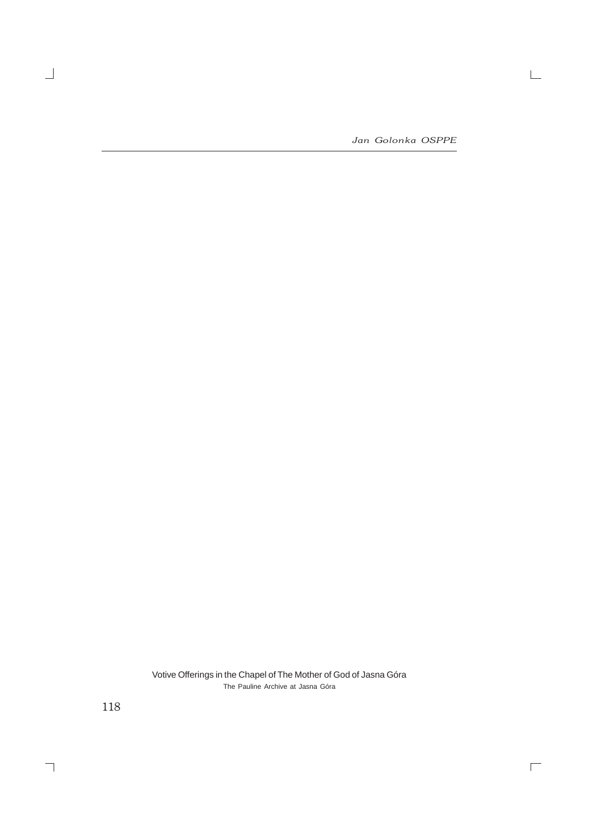*Jan Golonka OSPPE*

 $\mathrel{\sqsubseteq}$ 

 $\overline{\Box}$ 

Votive Offerings in the Chapel of The Mother of God of Jasna Góra The Pauline Archive at Jasna Góra

118

 $\overline{\phantom{0}}$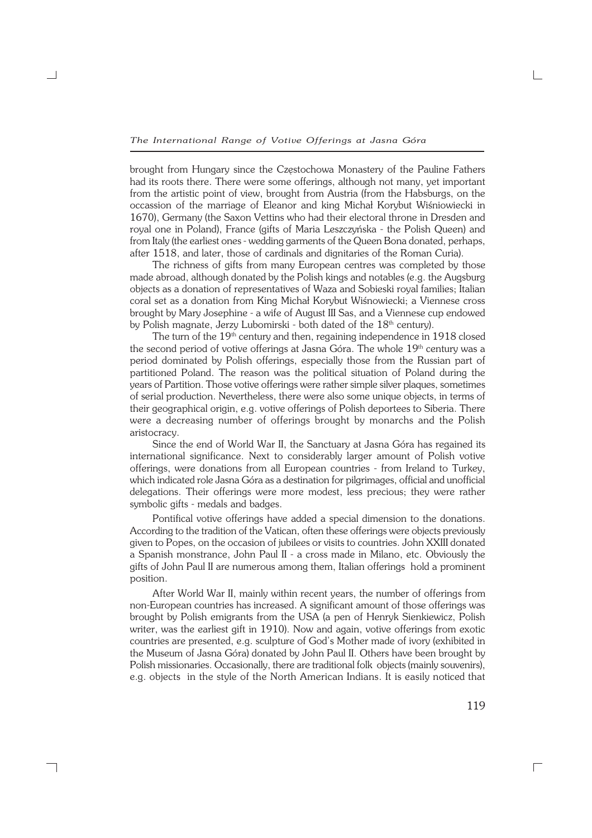brought from Hungary since the Częstochowa Monastery of the Pauline Fathers had its roots there. There were some offerings, although not many, yet important from the artistic point of view, brought from Austria (from the Habsburgs, on the occassion of the marriage of Eleanor and king Michał Korybut Wiśniowiecki in 1670), Germany (the Saxon Vettins who had their electoral throne in Dresden and royal one in Poland), France (gifts of Maria Leszczyńska − the Polish Queen) and from Italy (the earliest ones - wedding garments of the Queen Bona donated, perhaps, after 1518, and later, those of cardinals and dignitaries of the Roman Curia).

The richness of gifts from many European centres was completed by those made abroad, although donated by the Polish kings and notables (e.g. the Augsburg objects as a donation of representatives of Waza and Sobieski royal families; Italian coral set as a donation from King Michał Korybut Wiśnowiecki; a Viennese cross brought by Mary Josephine − a wife of August III Sas, and a Viennese cup endowed by Polish magnate, Jerzy Lubomirski - both dated of the 18<sup>th</sup> century).

The turn of the 19<sup>th</sup> century and then, regaining independence in 1918 closed the second period of votive offerings at Jasna Góra. The whole 19<sup>th</sup> century was a period dominated by Polish offerings, especially those from the Russian part of partitioned Poland. The reason was the political situation of Poland during the years of Partition. Those votive offerings were rather simple silver plaques, sometimes of serial production. Nevertheless, there were also some unique objects, in terms of their geographical origin, e.g. votive offerings of Polish deportees to Siberia. There were a decreasing number of offerings brought by monarchs and the Polish aristocracy.

Since the end of World War II, the Sanctuary at Jasna Góra has regained its international significance. Next to considerably larger amount of Polish votive offerings, were donations from all European countries − from Ireland to Turkey, which indicated role Jasna Góra as a destination for pilgrimages, official and unofficial delegations. Their offerings were more modest, less precious; they were rather symbolic gifts - medals and badges.

Pontifical votive offerings have added a special dimension to the donations. According to the tradition of the Vatican, often these offerings were objects previously given to Popes, on the occasion of jubilees or visits to countries. John XXIII donated a Spanish monstrance, John Paul II − a cross made in Milano, etc. Obviously the gifts of John Paul II are numerous among them, Italian offerings hold a prominent position.

After World War II, mainly within recent years, the number of offerings from non−European countries has increased. A significant amount of those offerings was brought by Polish emigrants from the USA (a pen of Henryk Sienkiewicz, Polish writer, was the earliest gift in 1910). Now and again, votive offerings from exotic countries are presented, e.g. sculpture of God's Mother made of ivory (exhibited in the Museum of Jasna Góra) donated by John Paul II. Others have been brought by Polish missionaries. Occasionally, there are traditional folk objects (mainly souvenirs), e.g. objects in the style of the North American Indians. It is easily noticed that

┐

 $\Box$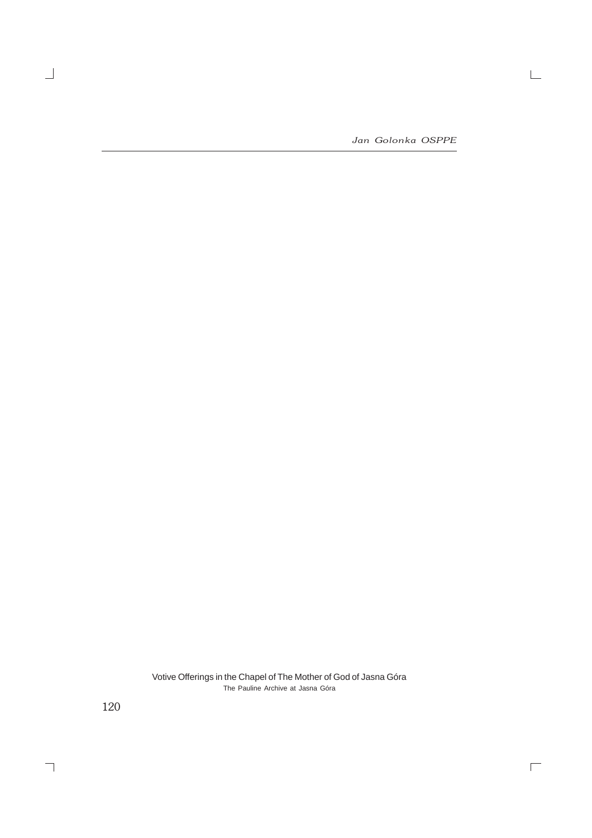*Jan Golonka OSPPE*

 $\mathrel{\sqsubseteq}$ 

 $\overline{\Box}$ 

Votive Offerings in the Chapel of The Mother of God of Jasna Góra The Pauline Archive at Jasna Góra

120

 $\overline{\phantom{0}}$